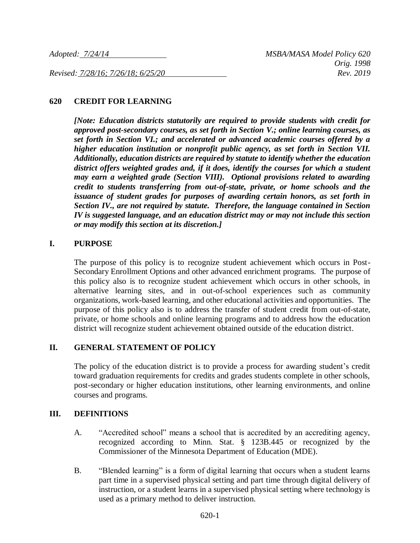*Revised: 7/28/16; 7/26/18; 6/25/20 Rev. 2019*

### **620 CREDIT FOR LEARNING**

*[Note: Education districts statutorily are required to provide students with credit for approved post-secondary courses, as set forth in Section V.; online learning courses, as set forth in Section VI.; and accelerated or advanced academic courses offered by a higher education institution or nonprofit public agency, as set forth in Section VII. Additionally, education districts are required by statute to identify whether the education district offers weighted grades and, if it does, identify the courses for which a student may earn a weighted grade (Section VIII). Optional provisions related to awarding credit to students transferring from out-of-state, private, or home schools and the issuance of student grades for purposes of awarding certain honors, as set forth in Section IV., are not required by statute. Therefore, the language contained in Section IV is suggested language, and an education district may or may not include this section or may modify this section at its discretion.]*

### **I. PURPOSE**

The purpose of this policy is to recognize student achievement which occurs in Post-Secondary Enrollment Options and other advanced enrichment programs. The purpose of this policy also is to recognize student achievement which occurs in other schools, in alternative learning sites, and in out-of-school experiences such as community organizations, work-based learning, and other educational activities and opportunities. The purpose of this policy also is to address the transfer of student credit from out-of-state, private, or home schools and online learning programs and to address how the education district will recognize student achievement obtained outside of the education district.

### **II. GENERAL STATEMENT OF POLICY**

The policy of the education district is to provide a process for awarding student's credit toward graduation requirements for credits and grades students complete in other schools, post-secondary or higher education institutions, other learning environments, and online courses and programs.

#### **III. DEFINITIONS**

- A. "Accredited school" means a school that is accredited by an accrediting agency, recognized according to Minn. Stat. § 123B.445 or recognized by the Commissioner of the Minnesota Department of Education (MDE).
- B. "Blended learning" is a form of digital learning that occurs when a student learns part time in a supervised physical setting and part time through digital delivery of instruction, or a student learns in a supervised physical setting where technology is used as a primary method to deliver instruction.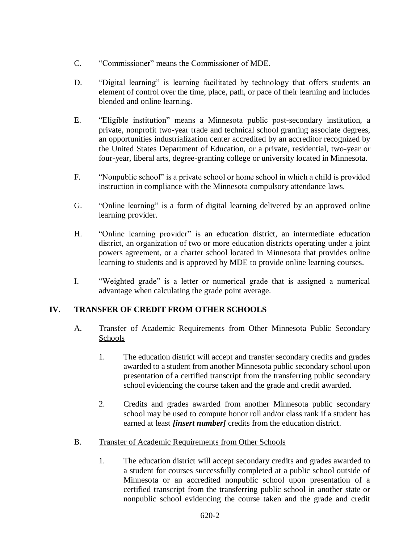- C. "Commissioner" means the Commissioner of MDE.
- D. "Digital learning" is learning facilitated by technology that offers students an element of control over the time, place, path, or pace of their learning and includes blended and online learning.
- E. "Eligible institution" means a Minnesota public post-secondary institution, a private, nonprofit two-year trade and technical school granting associate degrees, an opportunities industrialization center accredited by an accreditor recognized by the United States Department of Education, or a private, residential, two-year or four-year, liberal arts, degree-granting college or university located in Minnesota.
- F. "Nonpublic school" is a private school or home school in which a child is provided instruction in compliance with the Minnesota compulsory attendance laws.
- G. "Online learning" is a form of digital learning delivered by an approved online learning provider.
- H. "Online learning provider" is an education district, an intermediate education district, an organization of two or more education districts operating under a joint powers agreement, or a charter school located in Minnesota that provides online learning to students and is approved by MDE to provide online learning courses.
- I. "Weighted grade" is a letter or numerical grade that is assigned a numerical advantage when calculating the grade point average.

## **IV. TRANSFER OF CREDIT FROM OTHER SCHOOLS**

- A. Transfer of Academic Requirements from Other Minnesota Public Secondary Schools
	- 1. The education district will accept and transfer secondary credits and grades awarded to a student from another Minnesota public secondary school upon presentation of a certified transcript from the transferring public secondary school evidencing the course taken and the grade and credit awarded.
	- 2. Credits and grades awarded from another Minnesota public secondary school may be used to compute honor roll and/or class rank if a student has earned at least *[insert number]* credits from the education district.
- B. Transfer of Academic Requirements from Other Schools
	- 1. The education district will accept secondary credits and grades awarded to a student for courses successfully completed at a public school outside of Minnesota or an accredited nonpublic school upon presentation of a certified transcript from the transferring public school in another state or nonpublic school evidencing the course taken and the grade and credit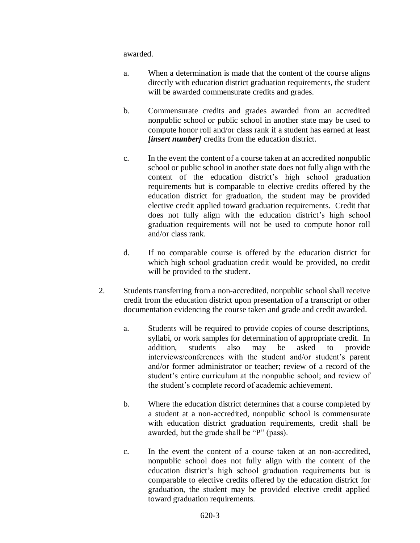awarded.

- a. When a determination is made that the content of the course aligns directly with education district graduation requirements, the student will be awarded commensurate credits and grades.
- b. Commensurate credits and grades awarded from an accredited nonpublic school or public school in another state may be used to compute honor roll and/or class rank if a student has earned at least *[insert number]* credits from the education district.
- c. In the event the content of a course taken at an accredited nonpublic school or public school in another state does not fully align with the content of the education district's high school graduation requirements but is comparable to elective credits offered by the education district for graduation, the student may be provided elective credit applied toward graduation requirements. Credit that does not fully align with the education district's high school graduation requirements will not be used to compute honor roll and/or class rank.
- d. If no comparable course is offered by the education district for which high school graduation credit would be provided, no credit will be provided to the student.
- 2. Students transferring from a non-accredited, nonpublic school shall receive credit from the education district upon presentation of a transcript or other documentation evidencing the course taken and grade and credit awarded.
	- a. Students will be required to provide copies of course descriptions, syllabi, or work samples for determination of appropriate credit. In addition, students also may be asked to provide interviews/conferences with the student and/or student's parent and/or former administrator or teacher; review of a record of the student's entire curriculum at the nonpublic school; and review of the student's complete record of academic achievement.
	- b. Where the education district determines that a course completed by a student at a non-accredited, nonpublic school is commensurate with education district graduation requirements, credit shall be awarded, but the grade shall be "P" (pass).
	- c. In the event the content of a course taken at an non-accredited, nonpublic school does not fully align with the content of the education district's high school graduation requirements but is comparable to elective credits offered by the education district for graduation, the student may be provided elective credit applied toward graduation requirements.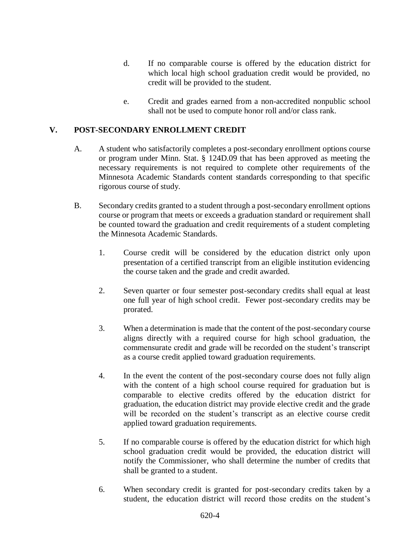- d. If no comparable course is offered by the education district for which local high school graduation credit would be provided, no credit will be provided to the student.
- e. Credit and grades earned from a non-accredited nonpublic school shall not be used to compute honor roll and/or class rank.

## **V. POST-SECONDARY ENROLLMENT CREDIT**

- A. A student who satisfactorily completes a post-secondary enrollment options course or program under Minn. Stat. § 124D.09 that has been approved as meeting the necessary requirements is not required to complete other requirements of the Minnesota Academic Standards content standards corresponding to that specific rigorous course of study.
- B. Secondary credits granted to a student through a post-secondary enrollment options course or program that meets or exceeds a graduation standard or requirement shall be counted toward the graduation and credit requirements of a student completing the Minnesota Academic Standards.
	- 1. Course credit will be considered by the education district only upon presentation of a certified transcript from an eligible institution evidencing the course taken and the grade and credit awarded.
	- 2. Seven quarter or four semester post-secondary credits shall equal at least one full year of high school credit. Fewer post-secondary credits may be prorated.
	- 3. When a determination is made that the content of the post-secondary course aligns directly with a required course for high school graduation, the commensurate credit and grade will be recorded on the student's transcript as a course credit applied toward graduation requirements.
	- 4. In the event the content of the post-secondary course does not fully align with the content of a high school course required for graduation but is comparable to elective credits offered by the education district for graduation, the education district may provide elective credit and the grade will be recorded on the student's transcript as an elective course credit applied toward graduation requirements.
	- 5. If no comparable course is offered by the education district for which high school graduation credit would be provided, the education district will notify the Commissioner, who shall determine the number of credits that shall be granted to a student.
	- 6. When secondary credit is granted for post-secondary credits taken by a student, the education district will record those credits on the student's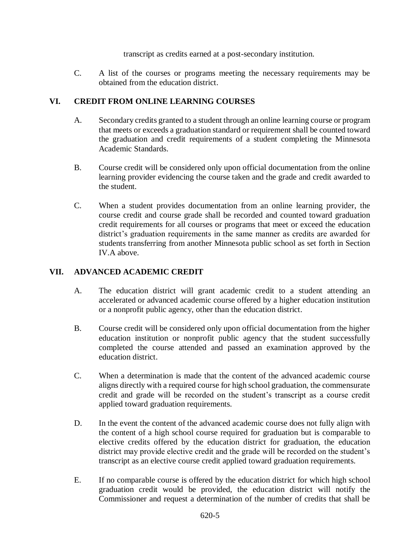transcript as credits earned at a post-secondary institution.

C. A list of the courses or programs meeting the necessary requirements may be obtained from the education district.

# **VI. CREDIT FROM ONLINE LEARNING COURSES**

- A. Secondary credits granted to a student through an online learning course or program that meets or exceeds a graduation standard or requirement shall be counted toward the graduation and credit requirements of a student completing the Minnesota Academic Standards.
- B. Course credit will be considered only upon official documentation from the online learning provider evidencing the course taken and the grade and credit awarded to the student.
- C. When a student provides documentation from an online learning provider, the course credit and course grade shall be recorded and counted toward graduation credit requirements for all courses or programs that meet or exceed the education district's graduation requirements in the same manner as credits are awarded for students transferring from another Minnesota public school as set forth in Section IV.A above.

# **VII. ADVANCED ACADEMIC CREDIT**

- A. The education district will grant academic credit to a student attending an accelerated or advanced academic course offered by a higher education institution or a nonprofit public agency, other than the education district.
- B. Course credit will be considered only upon official documentation from the higher education institution or nonprofit public agency that the student successfully completed the course attended and passed an examination approved by the education district.
- C. When a determination is made that the content of the advanced academic course aligns directly with a required course for high school graduation, the commensurate credit and grade will be recorded on the student's transcript as a course credit applied toward graduation requirements.
- D. In the event the content of the advanced academic course does not fully align with the content of a high school course required for graduation but is comparable to elective credits offered by the education district for graduation, the education district may provide elective credit and the grade will be recorded on the student's transcript as an elective course credit applied toward graduation requirements.
- E. If no comparable course is offered by the education district for which high school graduation credit would be provided, the education district will notify the Commissioner and request a determination of the number of credits that shall be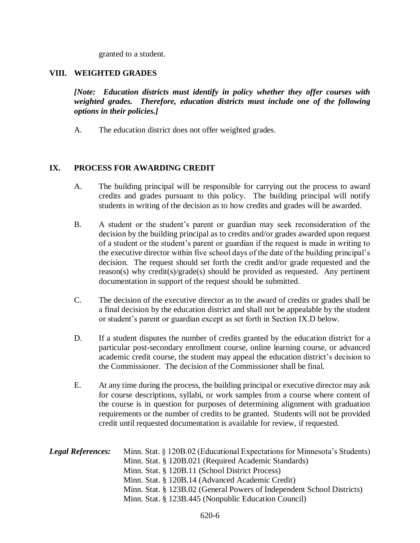granted to a student.

#### **VIII. WEIGHTED GRADES**

*[Note: Education districts must identify in policy whether they offer courses with*  weighted grades. Therefore, education districts must include one of the following *options in their policies.]*

A. The education district does not offer weighted grades.

#### **IX. PROCESS FOR AWARDING CREDIT**

- A. The building principal will be responsible for carrying out the process to award credits and grades pursuant to this policy. The building principal will notify students in writing of the decision as to how credits and grades will be awarded.
- B. A student or the student's parent or guardian may seek reconsideration of the decision by the building principal as to credits and/or grades awarded upon request of a student or the student's parent or guardian if the request is made in writing to the executive director within five school days of the date of the building principal's decision. The request should set forth the credit and/or grade requested and the reason(s) why credit(s)/grade(s) should be provided as requested. Any pertinent documentation in support of the request should be submitted.
- C. The decision of the executive director as to the award of credits or grades shall be a final decision by the education district and shall not be appealable by the student or student's parent or guardian except as set forth in Section IX.D below.
- D. If a student disputes the number of credits granted by the education district for a particular post-secondary enrollment course, online learning course, or advanced academic credit course, the student may appeal the education district's decision to the Commissioner. The decision of the Commissioner shall be final.
- E. At any time during the process, the building principal or executive director may ask for course descriptions, syllabi, or work samples from a course where content of the course is in question for purposes of determining alignment with graduation requirements or the number of credits to be granted. Students will not be provided credit until requested documentation is available for review, if requested.

| <b>Legal References:</b> | Minn. Stat. § 120B.02 (Educational Expectations for Minnesota's Students) |
|--------------------------|---------------------------------------------------------------------------|
|                          | Minn. Stat. § 120B.021 (Required Academic Standards)                      |
|                          | Minn. Stat. § 120B.11 (School District Process)                           |
|                          | Minn. Stat. § 120B.14 (Advanced Academic Credit)                          |
|                          | Minn. Stat. § 123B.02 (General Powers of Independent School Districts)    |
|                          | Minn. Stat. § 123B.445 (Nonpublic Education Council)                      |